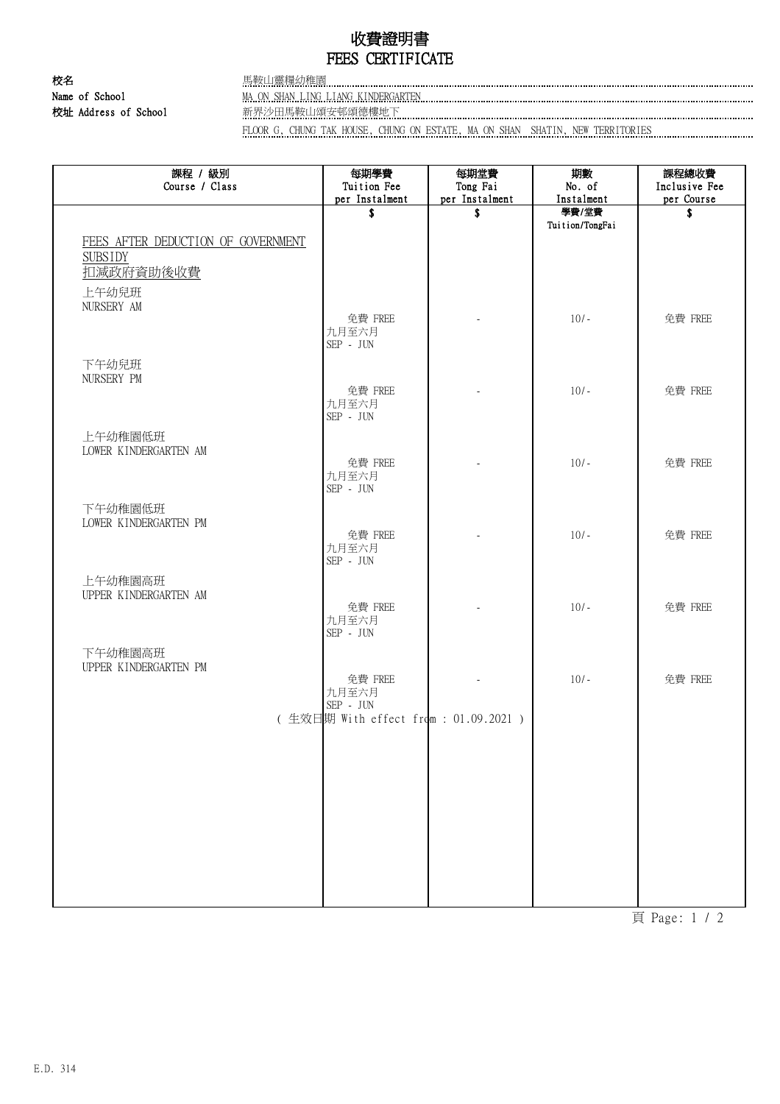## 收費證明書 FEES CERTIFICATE

校名 馬鞍山靈糧幼稚園 校址 Address of School 新界沙田馬鞍山頌安邨頌德樓地下

Name of School MA ON SHAN LING LIANG KINDERGARTEN

FLOOR G, CHUNG TAK HOUSE, CHUNG ON ESTATE, MA ON SHAN SHATIN, NEW TERRITORIES

| 課程 / 級別<br>Course / Class          | 每期學費<br>Tuition Fee                              | 每期堂費<br>Tong Fai | 期數<br>No. of             | 課程總收費<br>Inclusive Fee |
|------------------------------------|--------------------------------------------------|------------------|--------------------------|------------------------|
|                                    | per Instalment                                   | per Instalment   | Instalment               | per Course             |
|                                    | \$                                               | \$               | 學費/堂費<br>Tuition/TongFai | \$                     |
| FEES AFTER DEDUCTION OF GOVERNMENT |                                                  |                  |                          |                        |
| <b>SUBSIDY</b>                     |                                                  |                  |                          |                        |
| 扣減政府資助後收費                          |                                                  |                  |                          |                        |
| 上午幼兒班                              |                                                  |                  |                          |                        |
| NURSERY AM                         | 免費 FREE                                          |                  | $10/-$                   | 免費 FREE                |
|                                    | 九月至六月                                            |                  |                          |                        |
|                                    | $\rm{SEP}$ - $\rm{JUN}$                          |                  |                          |                        |
| 下午幼兒班<br>NURSERY PM                |                                                  |                  |                          |                        |
|                                    | 免費 FREE                                          |                  | $10/-$                   | 免費 FREE                |
|                                    | 九月至六月<br>SEP - JUN                               |                  |                          |                        |
|                                    |                                                  |                  |                          |                        |
| 上午幼稚園低班<br>LOWER KINDERGARTEN AM   |                                                  |                  |                          |                        |
|                                    | 免費 FREE                                          |                  | $10/-$                   | 免費 FREE                |
|                                    | 九月至六月<br>$\rm{SEP}$ - $\rm{JUN}$                 |                  |                          |                        |
| 下午幼稚園低班                            |                                                  |                  |                          |                        |
| LOWER KINDERGARTEN PM              |                                                  |                  |                          |                        |
|                                    | 免費 FREE<br>九月至六月                                 |                  | $10/-$                   | 免費 FREE                |
|                                    | $\mbox{SEP}$ - $\mbox{JUN}$                      |                  |                          |                        |
| 上午幼稚園高班                            |                                                  |                  |                          |                        |
| UPPER KINDERGARTEN AM              |                                                  |                  |                          |                        |
|                                    | 免費 FREE<br>九月至六月                                 |                  | $10/-$                   | 免費 FREE                |
|                                    | $\rm SEP\,$ - $\rm\,JUN$                         |                  |                          |                        |
| 下午幼稚園高班                            |                                                  |                  |                          |                        |
| UPPER KINDERGARTEN PM              | 免費 FREE                                          |                  | $10/-$                   | 免費 FREE                |
|                                    | 九月至六月                                            |                  |                          |                        |
|                                    | SEP - JUN<br>(生效日期 With effect from: 01.09.2021) |                  |                          |                        |
|                                    |                                                  |                  |                          |                        |
|                                    |                                                  |                  |                          |                        |
|                                    |                                                  |                  |                          |                        |
|                                    |                                                  |                  |                          |                        |
|                                    |                                                  |                  |                          |                        |
|                                    |                                                  |                  |                          |                        |
|                                    |                                                  |                  |                          |                        |
|                                    |                                                  |                  |                          |                        |
|                                    |                                                  |                  |                          |                        |

頁 Page: 1 / 2